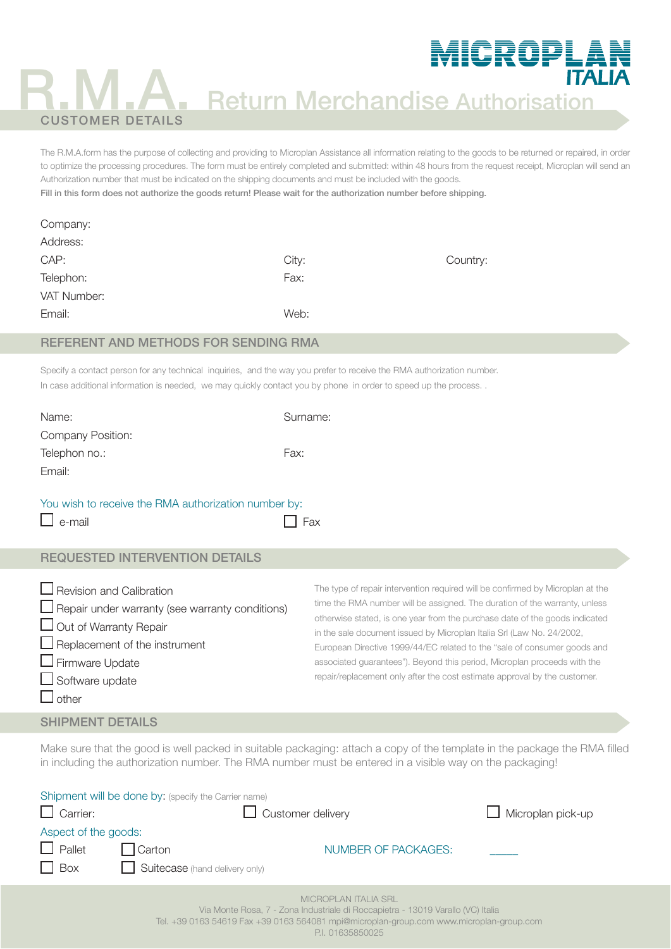## Return Merchandise Authorisation

MICROPLAN

# R.M.A. CUSTOMER DETAILS

The R.M.A.form has the purpose of collecting and providing to Microplan Assistance all information relating to the goods to be returned or repaired, in order to optimize the processing procedures. The form must be entirely completed and submitted: within 48 hours from the request receipt, Microplan will send an Authorization number that must be indicated on the shipping documents and must be included with the goods.

Fill in this form does not authorize the goods return! Please wait for the authorization number before shipping.

| Company:    |       |          |
|-------------|-------|----------|
| Address:    |       |          |
| CAP:        | City: | Country: |
| Telephon:   | Fax:  |          |
| VAT Number: |       |          |
| Email:      | Web:  |          |

#### REFERENT AND METHODS FOR SENDING RMA

Specify a contact person for any technical inquiries, and the way you prefer to receive the RMA authorization number. In case additional information is needed, we may quickly contact you by phone in order to speed up the process..

| Name:                                                                                                                                                                                                                           | Surname:                                                                                                                                                                                                                                                                                                                                                                                                                                                                                                                                                  |
|---------------------------------------------------------------------------------------------------------------------------------------------------------------------------------------------------------------------------------|-----------------------------------------------------------------------------------------------------------------------------------------------------------------------------------------------------------------------------------------------------------------------------------------------------------------------------------------------------------------------------------------------------------------------------------------------------------------------------------------------------------------------------------------------------------|
| <b>Company Position:</b>                                                                                                                                                                                                        |                                                                                                                                                                                                                                                                                                                                                                                                                                                                                                                                                           |
| Telephon no.:                                                                                                                                                                                                                   | Fax:                                                                                                                                                                                                                                                                                                                                                                                                                                                                                                                                                      |
| Email:                                                                                                                                                                                                                          |                                                                                                                                                                                                                                                                                                                                                                                                                                                                                                                                                           |
| You wish to receive the RMA authorization number by:<br>e-mail                                                                                                                                                                  | Fax                                                                                                                                                                                                                                                                                                                                                                                                                                                                                                                                                       |
| <b>REQUESTED INTERVENTION DETAILS</b>                                                                                                                                                                                           |                                                                                                                                                                                                                                                                                                                                                                                                                                                                                                                                                           |
| $\Box$ Revision and Calibration<br>$\Box$ Repair under warranty (see warranty conditions)<br>Out of Warranty Repair<br>$\Box$ Replacement of the instrument<br>$\Box$ Firmware Update<br>$\Box$ Software update<br>$\Box$ other | The type of repair intervention required will be confirmed by Microplan at the<br>time the RMA number will be assigned. The duration of the warranty, unless<br>otherwise stated, is one year from the purchase date of the goods indicated<br>in the sale document issued by Microplan Italia Srl (Law No. 24/2002,<br>European Directive 1999/44/EC related to the "sale of consumer goods and<br>associated guarantees"). Beyond this period, Microplan proceeds with the<br>repair/replacement only after the cost estimate approval by the customer. |
| <b>SHIPMENT DETAILS</b>                                                                                                                                                                                                         |                                                                                                                                                                                                                                                                                                                                                                                                                                                                                                                                                           |

Make sure that the good is well packed in suitable packaging: attach a copy of the template in the package the RMA filled in including the authorization number. The RMA number must be entered in a visible way on the packaging!

| $\Box$ Carrier:                                     | Shipment will be done by: (specify the Carrier name)<br>Customer delivery | $\Box$ Microplan pick-up                                                                                                                                                    |  |
|-----------------------------------------------------|---------------------------------------------------------------------------|-----------------------------------------------------------------------------------------------------------------------------------------------------------------------------|--|
| Aspect of the goods:<br>$\Box$ Pallet<br>$\Box$ Box | Carton<br>Suitecase (hand delivery only)                                  | NUMBER OF PACKAGES:                                                                                                                                                         |  |
|                                                     |                                                                           | <b>MICROPLAN ITALIA SRL</b><br>$\sum_{i=1}^n A_i$ and $\sum_{i=1}^n A_i = \sum_{i=1}^n A_i$ and $\sum_{i=1}^n A_i = \sum_{i=1}^n A_i = \sum_{i=1}^n A_i = \sum_{i=1}^n A_i$ |  |

Via Monte Rosa, 7 - Zona Industriale di Roccapietra - 13019 Varallo (VC) Italia

Tel. +39 0163 54619 Fax +39 0163 564081 mpi@microplan-group.com www.microplan-group.com

P.I. 01635850025